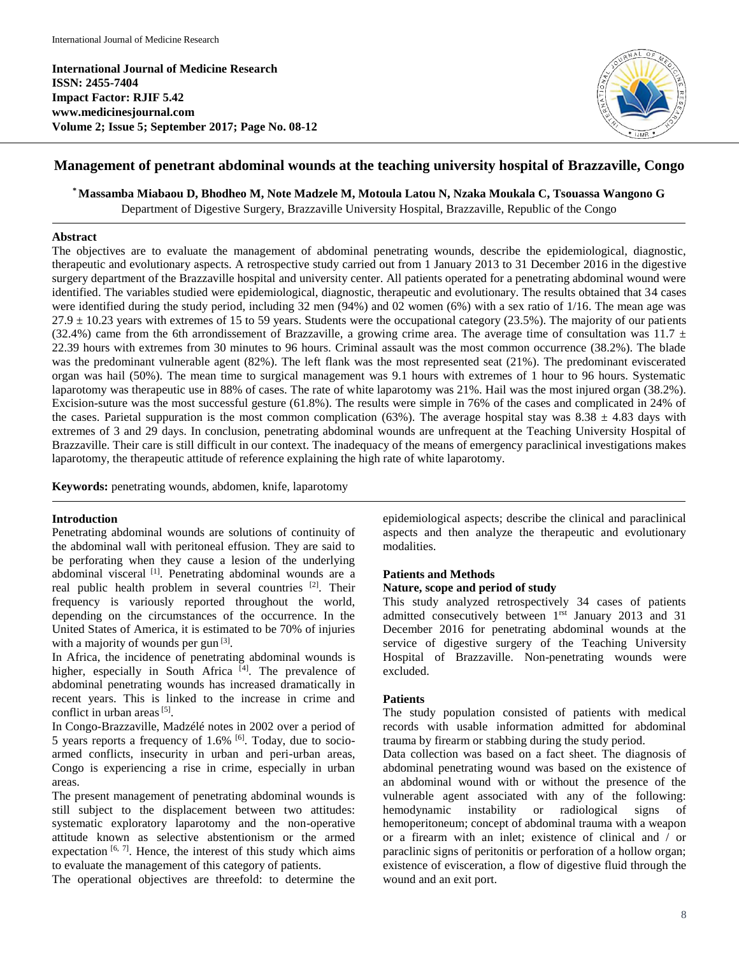**International Journal of Medicine Research ISSN: 2455-7404 Impact Factor: RJIF 5.42 www.medicinesjournal.com Volume 2; Issue 5; September 2017; Page No. 08-12**



# **Management of penetrant abdominal wounds at the teaching university hospital of Brazzaville, Congo**

**\*Massamba Miabaou D, Bhodheo M, Note Madzele M, Motoula Latou N, Nzaka Moukala C, Tsouassa Wangono G**

Department of Digestive Surgery, Brazzaville University Hospital, Brazzaville, Republic of the Congo

### **Abstract**

The objectives are to evaluate the management of abdominal penetrating wounds, describe the epidemiological, diagnostic, therapeutic and evolutionary aspects. A retrospective study carried out from 1 January 2013 to 31 December 2016 in the digestive surgery department of the Brazzaville hospital and university center. All patients operated for a penetrating abdominal wound were identified. The variables studied were epidemiological, diagnostic, therapeutic and evolutionary. The results obtained that 34 cases were identified during the study period, including 32 men (94%) and 02 women (6%) with a sex ratio of 1/16. The mean age was  $27.9 \pm 10.23$  years with extremes of 15 to 59 years. Students were the occupational category (23.5%). The majority of our patients (32.4%) came from the 6th arrondissement of Brazzaville, a growing crime area. The average time of consultation was 11.7  $\pm$ 22.39 hours with extremes from 30 minutes to 96 hours. Criminal assault was the most common occurrence (38.2%). The blade was the predominant vulnerable agent (82%). The left flank was the most represented seat (21%). The predominant eviscerated organ was hail (50%). The mean time to surgical management was 9.1 hours with extremes of 1 hour to 96 hours. Systematic laparotomy was therapeutic use in 88% of cases. The rate of white laparotomy was 21%. Hail was the most injured organ (38.2%). Excision-suture was the most successful gesture (61.8%). The results were simple in 76% of the cases and complicated in 24% of the cases. Parietal suppuration is the most common complication (63%). The average hospital stay was  $8.38 \pm 4.83$  days with extremes of 3 and 29 days. In conclusion, penetrating abdominal wounds are unfrequent at the Teaching University Hospital of Brazzaville. Their care is still difficult in our context. The inadequacy of the means of emergency paraclinical investigations makes laparotomy, the therapeutic attitude of reference explaining the high rate of white laparotomy.

**Keywords:** penetrating wounds, abdomen, knife, laparotomy

# **Introduction**

Penetrating abdominal wounds are solutions of continuity of the abdominal wall with peritoneal effusion. They are said to be perforating when they cause a lesion of the underlying abdominal visceral <a>[1]</a>. Penetrating abdominal wounds are a real public health problem in several countries <sup>[2]</sup>. Their frequency is variously reported throughout the world, depending on the circumstances of the occurrence. In the United States of America, it is estimated to be 70% of injuries with a majority of wounds per gun  $[3]$ .

In Africa, the incidence of penetrating abdominal wounds is higher, especially in South Africa<sup>[4]</sup>. The prevalence of abdominal penetrating wounds has increased dramatically in recent years. This is linked to the increase in crime and conflict in urban areas<sup>[5]</sup>.

In Congo-Brazzaville, Madzélé notes in 2002 over a period of 5 years reports a frequency of 1.6% <sup>[6]</sup>. Today, due to socioarmed conflicts, insecurity in urban and peri-urban areas, Congo is experiencing a rise in crime, especially in urban areas.

The present management of penetrating abdominal wounds is still subject to the displacement between two attitudes: systematic exploratory laparotomy and the non-operative attitude known as selective abstentionism or the armed expectation  $[6, 7]$ . Hence, the interest of this study which aims to evaluate the management of this category of patients.

The operational objectives are threefold: to determine the

epidemiological aspects; describe the clinical and paraclinical aspects and then analyze the therapeutic and evolutionary modalities.

#### **Patients and Methods**

#### **Nature, scope and period of study**

This study analyzed retrospectively 34 cases of patients admitted consecutively between 1rst January 2013 and 31 December 2016 for penetrating abdominal wounds at the service of digestive surgery of the Teaching University Hospital of Brazzaville. Non-penetrating wounds were excluded.

# **Patients**

The study population consisted of patients with medical records with usable information admitted for abdominal trauma by firearm or stabbing during the study period.

Data collection was based on a fact sheet. The diagnosis of abdominal penetrating wound was based on the existence of an abdominal wound with or without the presence of the vulnerable agent associated with any of the following: hemodynamic instability or radiological signs of hemoperitoneum; concept of abdominal trauma with a weapon or a firearm with an inlet; existence of clinical and / or paraclinic signs of peritonitis or perforation of a hollow organ; existence of evisceration, a flow of digestive fluid through the wound and an exit port.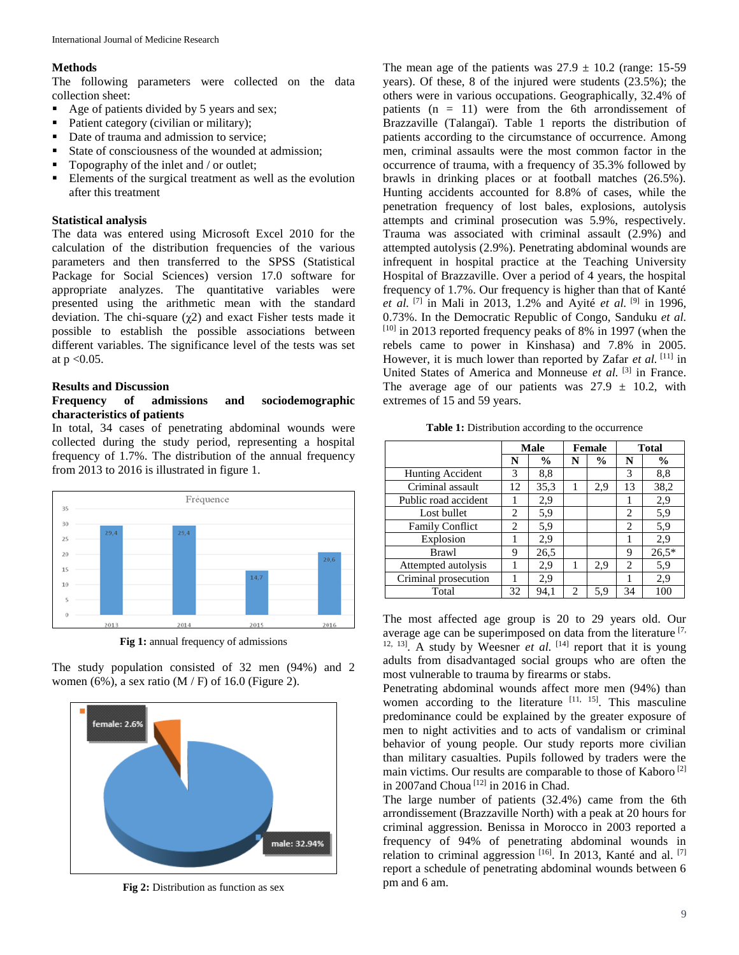# **Methods**

The following parameters were collected on the data collection sheet:

- Age of patients divided by 5 years and sex;
- Patient category (civilian or military);
- Date of trauma and admission to service:
- State of consciousness of the wounded at admission;
- Topography of the inlet and / or outlet;
- Elements of the surgical treatment as well as the evolution after this treatment

# **Statistical analysis**

The data was entered using Microsoft Excel 2010 for the calculation of the distribution frequencies of the various parameters and then transferred to the SPSS (Statistical Package for Social Sciences) version 17.0 software for appropriate analyzes. The quantitative variables were presented using the arithmetic mean with the standard deviation. The chi-square (χ2) and exact Fisher tests made it possible to establish the possible associations between different variables. The significance level of the tests was set at  $p < 0.05$ .

# **Results and Discussion**

### **Frequency of admissions and sociodemographic characteristics of patients**

In total, 34 cases of penetrating abdominal wounds were collected during the study period, representing a hospital frequency of 1.7%. The distribution of the annual frequency from 2013 to 2016 is illustrated in figure 1.



**Fig 1:** annual frequency of admissions

The study population consisted of 32 men (94%) and 2 women (6%), a sex ratio  $(M / F)$  of 16.0 (Figure 2).



**Fig 2:** Distribution as function as sex

The mean age of the patients was  $27.9 \pm 10.2$  (range: 15-59) years). Of these, 8 of the injured were students (23.5%); the others were in various occupations. Geographically, 32.4% of patients  $(n = 11)$  were from the 6th arrondissement of Brazzaville (Talangaї). Table 1 reports the distribution of patients according to the circumstance of occurrence. Among men, criminal assaults were the most common factor in the occurrence of trauma, with a frequency of 35.3% followed by brawls in drinking places or at football matches (26.5%). Hunting accidents accounted for 8.8% of cases, while the penetration frequency of lost bales, explosions, autolysis attempts and criminal prosecution was 5.9%, respectively. Trauma was associated with criminal assault (2.9%) and attempted autolysis (2.9%). Penetrating abdominal wounds are infrequent in hospital practice at the Teaching University Hospital of Brazzaville. Over a period of 4 years, the hospital frequency of 1.7%. Our frequency is higher than that of Kanté *et al.* [7] in Mali in 2013, 1.2% and Ayité *et al.* [9] in 1996, 0.73%. In the Democratic Republic of Congo, Sanduku *et al.*  $[10]$  in 2013 reported frequency peaks of 8% in 1997 (when the rebels came to power in Kinshasa) and 7.8% in 2005. However, it is much lower than reported by Zafar *et al.* [11] in United States of America and Monneuse et al. <sup>[3]</sup> in France. The average age of our patients was  $27.9 \pm 10.2$ , with extremes of 15 and 59 years.

**Table 1:** Distribution according to the occurrence

|                        | <b>Male</b>    |               | <b>Female</b>  |               | <b>Total</b> |               |
|------------------------|----------------|---------------|----------------|---------------|--------------|---------------|
|                        | N              | $\frac{0}{0}$ | N              | $\frac{6}{9}$ | N            | $\frac{6}{9}$ |
| Hunting Accident       | 3              | 8,8           |                |               | 3            | 8,8           |
| Criminal assault       | 12             | 35,3          | 1              | 2,9           | 13           | 38,2          |
| Public road accident   |                | 2,9           |                |               |              | 2,9           |
| Lost bullet            | 2              | 5,9           |                |               | 2            | 5,9           |
| <b>Family Conflict</b> | $\overline{c}$ | 5,9           |                |               | 2            | 5,9           |
| Explosion              | 1              | 2,9           |                |               |              | 2,9           |
| Brawl                  | 9              | 26,5          |                |               | 9            | $26,5*$       |
| Attempted autolysis    |                | 2,9           | 1              | 2,9           | 2            | 5,9           |
| Criminal prosecution   |                | 2,9           |                |               |              | 2,9           |
| Total                  | 32             | 94,1          | $\overline{c}$ | 5,9           | 34           | 100           |

The most affected age group is 20 to 29 years old. Our average age can be superimposed on data from the literature [7,  $12, 13$ . A study by Weesner *et al.*  $[14]$  report that it is young adults from disadvantaged social groups who are often the most vulnerable to trauma by firearms or stabs.

Penetrating abdominal wounds affect more men (94%) than women according to the literature  $[11, 15]$ . This masculine predominance could be explained by the greater exposure of men to night activities and to acts of vandalism or criminal behavior of young people. Our study reports more civilian than military casualties. Pupils followed by traders were the main victims. Our results are comparable to those of Kaboro [2] in 2007 and Choua<sup>[12]</sup> in 2016 in Chad.

The large number of patients (32.4%) came from the 6th arrondissement (Brazzaville North) with a peak at 20 hours for criminal aggression. Benissa in Morocco in 2003 reported a frequency of 94% of penetrating abdominal wounds in relation to criminal aggression [16]. In 2013, Kanté and al. [7] report a schedule of penetrating abdominal wounds between 6 pm and 6 am.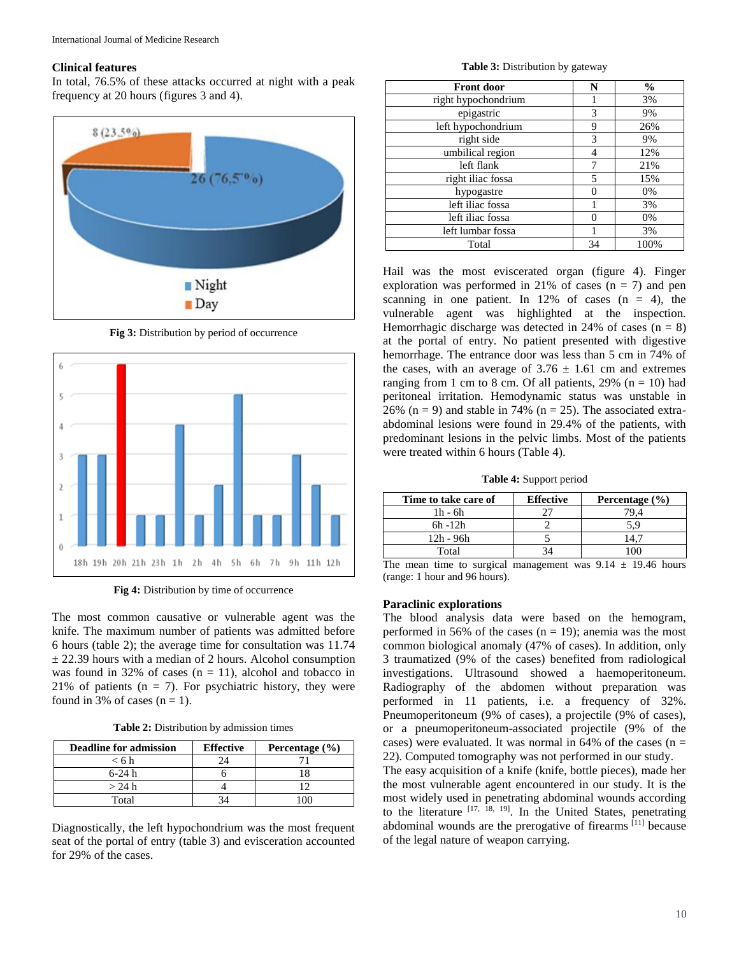# **Clinical features**

In total, 76.5% of these attacks occurred at night with a peak frequency at 20 hours (figures 3 and 4).



**Fig 3:** Distribution by period of occurrence



**Fig 4:** Distribution by time of occurrence

The most common causative or vulnerable agent was the knife. The maximum number of patients was admitted before 6 hours (table 2); the average time for consultation was 11.74  $\pm$  22.39 hours with a median of 2 hours. Alcohol consumption was found in 32% of cases  $(n = 11)$ , alcohol and tobacco in 21% of patients ( $n = 7$ ). For psychiatric history, they were found in 3% of cases  $(n = 1)$ .

**Table 2:** Distribution by admission times

| <b>Deadline for admission</b> | <b>Effective</b> | Percentage $(\% )$ |
|-------------------------------|------------------|--------------------|
| < 6h                          |                  |                    |
| $6-24 h$                      |                  |                    |
| $>$ 24 h                      |                  |                    |
| Total                         |                  |                    |

Diagnostically, the left hypochondrium was the most frequent seat of the portal of entry (table 3) and evisceration accounted for 29% of the cases.

**Table 3:** Distribution by gateway

| <b>Front door</b>   | N  | $\frac{0}{0}$ |
|---------------------|----|---------------|
| right hypochondrium |    | 3%            |
| epigastric          | 3  | 9%            |
| left hypochondrium  | 9  | 26%           |
| right side          | 3  | 9%            |
| umbilical region    | 4  | 12%           |
| left flank          |    | 21%           |
| right iliac fossa   | 5  | 15%           |
| hypogastre          | 0  | 0%            |
| left iliac fossa    |    | 3%            |
| left iliac fossa    | 0  | 0%            |
| left lumbar fossa   |    | 3%            |
| Total               | 34 | 100%          |

Hail was the most eviscerated organ (figure 4). Finger exploration was performed in 21% of cases  $(n = 7)$  and pen scanning in one patient. In  $12\%$  of cases  $(n = 4)$ , the vulnerable agent was highlighted at the inspection. Hemorrhagic discharge was detected in 24% of cases  $(n = 8)$ at the portal of entry. No patient presented with digestive hemorrhage. The entrance door was less than 5 cm in 74% of the cases, with an average of  $3.76 \pm 1.61$  cm and extremes ranging from 1 cm to 8 cm. Of all patients,  $29\%$  (n = 10) had peritoneal irritation. Hemodynamic status was unstable in 26% ( $n = 9$ ) and stable in 74% ( $n = 25$ ). The associated extraabdominal lesions were found in 29.4% of the patients, with predominant lesions in the pelvic limbs. Most of the patients were treated within 6 hours (Table 4).

**Table 4:** Support period

| Time to take care of | <b>Effective</b> | Percentage $(\% )$ |
|----------------------|------------------|--------------------|
| $1h - 6h$            |                  |                    |
| $6h - 12h$           |                  | 5.9                |
| 12h - 96h            |                  |                    |
| Total                |                  |                    |

The mean time to surgical management was  $9.14 \pm 19.46$  hours (range: 1 hour and 96 hours).

#### **Paraclinic explorations**

The blood analysis data were based on the hemogram, performed in 56% of the cases  $(n = 19)$ ; anemia was the most common biological anomaly (47% of cases). In addition, only 3 traumatized (9% of the cases) benefited from radiological investigations. Ultrasound showed a haemoperitoneum. Radiography of the abdomen without preparation was performed in 11 patients, i.e. a frequency of 32%. Pneumoperitoneum (9% of cases), a projectile (9% of cases), or a pneumoperitoneum-associated projectile (9% of the cases) were evaluated. It was normal in 64% of the cases ( $n =$ 22). Computed tomography was not performed in our study.

The easy acquisition of a knife (knife, bottle pieces), made her the most vulnerable agent encountered in our study. It is the most widely used in penetrating abdominal wounds according to the literature  $[17, 18, 19]$ . In the United States, penetrating abdominal wounds are the prerogative of firearms [11] because of the legal nature of weapon carrying.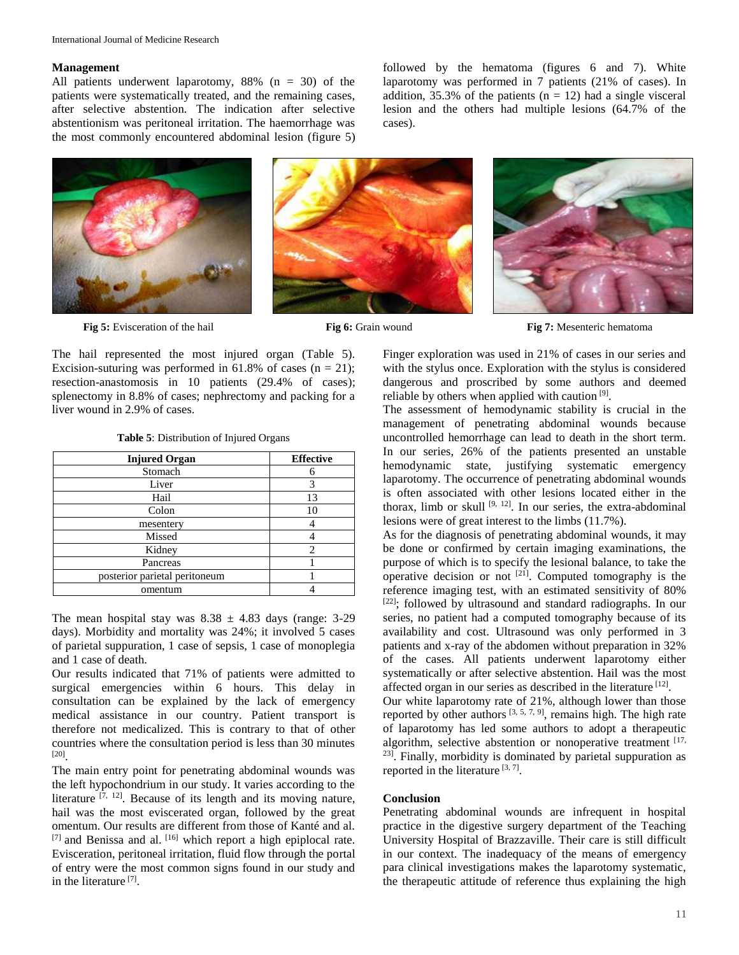#### **Management**

All patients underwent laparotomy, 88% (n = 30) of the patients were systematically treated, and the remaining cases, after selective abstention. The indication after selective abstentionism was peritoneal irritation. The haemorrhage was the most commonly encountered abdominal lesion (figure 5)



cases).



**Fig 5:** Evisceration of the hail **Fig. 6:** Fig. 6: Grain wound **Fig. 7:** Mesenteric hematoma

The hail represented the most injured organ (Table 5). Excision-suturing was performed in 61.8% of cases  $(n = 21)$ ; resection-anastomosis in 10 patients (29.4% of cases); splenectomy in 8.8% of cases; nephrectomy and packing for a liver wound in 2.9% of cases.

|  | Table 5: Distribution of Injured Organs |  |  |
|--|-----------------------------------------|--|--|
|--|-----------------------------------------|--|--|

| <b>Injured Organ</b>          | <b>Effective</b> |
|-------------------------------|------------------|
| Stomach                       |                  |
| Liver                         | 3                |
| Hail                          | 13               |
| Colon                         | 10               |
| mesentery                     |                  |
| Missed                        |                  |
| Kidney                        | 2                |
| Pancreas                      |                  |
| posterior parietal peritoneum |                  |
| omentum                       |                  |

The mean hospital stay was  $8.38 \pm 4.83$  days (range: 3-29) days). Morbidity and mortality was 24%; it involved 5 cases of parietal suppuration, 1 case of sepsis, 1 case of monoplegia and 1 case of death.

Our results indicated that 71% of patients were admitted to surgical emergencies within 6 hours. This delay in consultation can be explained by the lack of emergency medical assistance in our country. Patient transport is therefore not medicalized. This is contrary to that of other countries where the consultation period is less than 30 minutes [20] .

The main entry point for penetrating abdominal wounds was the left hypochondrium in our study. It varies according to the literature  $[7, 12]$ . Because of its length and its moving nature, hail was the most eviscerated organ, followed by the great omentum. Our results are different from those of Kanté and al. [7] and Benissa and al. [16] which report a high epiplocal rate. Evisceration, peritoneal irritation, fluid flow through the portal of entry were the most common signs found in our study and in the literature<sup>[7]</sup>.

Finger exploration was used in 21% of cases in our series and with the stylus once. Exploration with the stylus is considered dangerous and proscribed by some authors and deemed reliable by others when applied with caution<sup>[9]</sup>.

followed by the hematoma (figures 6 and 7). White laparotomy was performed in 7 patients (21% of cases). In addition, 35.3% of the patients ( $n = 12$ ) had a single visceral lesion and the others had multiple lesions (64.7% of the

The assessment of hemodynamic stability is crucial in the management of penetrating abdominal wounds because uncontrolled hemorrhage can lead to death in the short term. In our series, 26% of the patients presented an unstable hemodynamic state, justifying systematic emergency laparotomy. The occurrence of penetrating abdominal wounds is often associated with other lesions located either in the thorax, limb or skull  $[9, 12]$ . In our series, the extra-abdominal lesions were of great interest to the limbs (11.7%).

As for the diagnosis of penetrating abdominal wounds, it may be done or confirmed by certain imaging examinations, the purpose of which is to specify the lesional balance, to take the operative decision or not  $[21]$ . Computed tomography is the reference imaging test, with an estimated sensitivity of 80% <sup>[22]</sup>; followed by ultrasound and standard radiographs. In our series, no patient had a computed tomography because of its availability and cost. Ultrasound was only performed in 3 patients and x-ray of the abdomen without preparation in 32% of the cases. All patients underwent laparotomy either systematically or after selective abstention. Hail was the most affected organ in our series as described in the literature [12].

Our white laparotomy rate of 21%, although lower than those reported by other authors  $[3, 5, 7, 9]$ , remains high. The high rate of laparotomy has led some authors to adopt a therapeutic algorithm, selective abstention or nonoperative treatment [17, <sup>23]</sup>. Finally, morbidity is dominated by parietal suppuration as reported in the literature  $[3, 7]$ .

#### **Conclusion**

Penetrating abdominal wounds are infrequent in hospital practice in the digestive surgery department of the Teaching University Hospital of Brazzaville. Their care is still difficult in our context. The inadequacy of the means of emergency para clinical investigations makes the laparotomy systematic, the therapeutic attitude of reference thus explaining the high